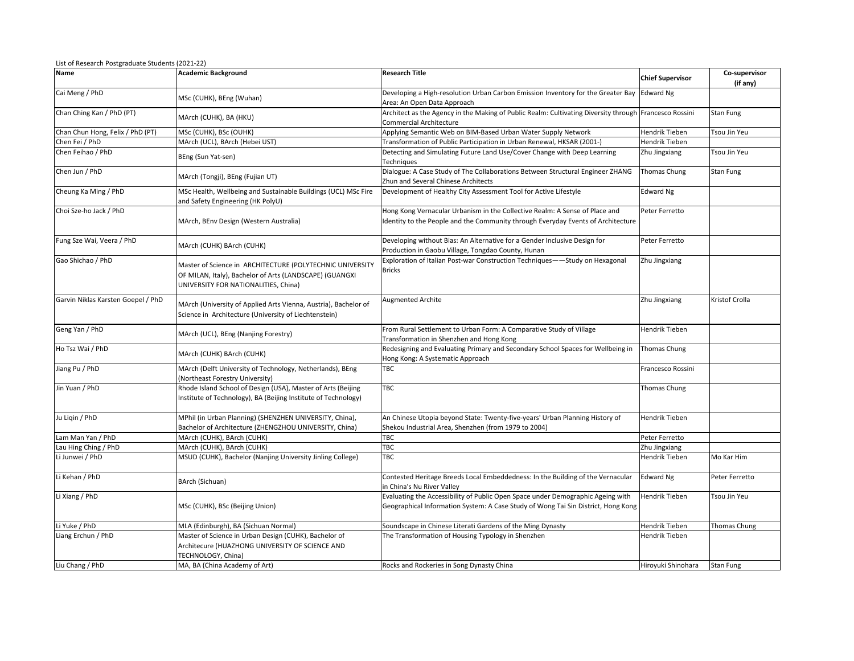| <b>Name</b>                        | <b>Academic Background</b>                                                                                                                                   | <b>Research Title</b>                                                                                                                                                | <b>Chief Supervisor</b> | Co-supervisor       |
|------------------------------------|--------------------------------------------------------------------------------------------------------------------------------------------------------------|----------------------------------------------------------------------------------------------------------------------------------------------------------------------|-------------------------|---------------------|
|                                    |                                                                                                                                                              |                                                                                                                                                                      |                         | (if any)            |
| Cai Meng / PhD                     | MSc (CUHK), BEng (Wuhan)                                                                                                                                     | Developing a High-resolution Urban Carbon Emission Inventory for the Greater Bay<br>Area: An Open Data Approach                                                      | Edward Ng               |                     |
| Chan Ching Kan / PhD (PT)          | MArch (CUHK), BA (HKU)                                                                                                                                       | Architect as the Agency in the Making of Public Realm: Cultivating Diversity through Francesco Rossini<br>Commercial Architecture                                    |                         | Stan Fung           |
| Chan Chun Hong, Felix / PhD (PT)   | MSc (CUHK), BSc (OUHK)                                                                                                                                       | Applying Semantic Web on BIM-Based Urban Water Supply Network                                                                                                        | Hendrik Tieben          | Tsou Jin Yeu        |
| Chen Fei / PhD                     | MArch (UCL), BArch (Hebei UST)                                                                                                                               | Transformation of Public Participation in Urban Renewal, HKSAR (2001-)                                                                                               | Hendrik Tieben          |                     |
| Chen Feihao / PhD                  | BEng (Sun Yat-sen)                                                                                                                                           | Detecting and Simulating Future Land Use/Cover Change with Deep Learning<br><b>Techniques</b>                                                                        | Zhu Jingxiang           | Tsou Jin Yeu        |
| Chen Jun / PhD                     | MArch (Tongji), BEng (Fujian UT)                                                                                                                             | Dialogue: A Case Study of The Collaborations Between Structural Engineer ZHANG<br>Zhun and Several Chinese Architects                                                | Thomas Chung            | Stan Fung           |
| Cheung Ka Ming / PhD               | MSc Health, Wellbeing and Sustainable Buildings (UCL) MSc Fire<br>and Safety Engineering (HK PolyU)                                                          | Development of Healthy City Assessment Tool for Active Lifestyle                                                                                                     | <b>Edward Ng</b>        |                     |
| Choi Sze-ho Jack / PhD             | MArch, BEnv Design (Western Australia)                                                                                                                       | Hong Kong Vernacular Urbanism in the Collective Realm: A Sense of Place and<br>Identity to the People and the Community through Everyday Events of Architecture      | Peter Ferretto          |                     |
| Fung Sze Wai, Veera / PhD          | MArch (CUHK) BArch (CUHK)                                                                                                                                    | Developing without Bias: An Alternative for a Gender Inclusive Design for<br>Production in Gaobu Village, Tongdao County, Hunan                                      | Peter Ferretto          |                     |
| Gao Shichao / PhD                  | Master of Science in ARCHITECTURE (POLYTECHNIC UNIVERSITY<br>OF MILAN, Italy), Bachelor of Arts (LANDSCAPE) (GUANGXI<br>UNIVERSITY FOR NATIONALITIES, China) | Exploration of Italian Post-war Construction Techniques——Study on Hexagonal<br>Bricks                                                                                | Zhu Jingxiang           |                     |
| Garvin Niklas Karsten Goepel / PhD | MArch (University of Applied Arts Vienna, Austria), Bachelor of<br>Science in Architecture (University of Liechtenstein)                                     | <b>Augmented Archite</b>                                                                                                                                             | Zhu Jingxiang           | Kristof Crolla      |
| Geng Yan / PhD                     | MArch (UCL), BEng (Nanjing Forestry)                                                                                                                         | From Rural Settlement to Urban Form: A Comparative Study of Village<br>Transformation in Shenzhen and Hong Kong                                                      | Hendrik Tieben          |                     |
| Ho Tsz Wai / PhD                   | MArch (CUHK) BArch (CUHK)                                                                                                                                    | Redesigning and Evaluating Primary and Secondary School Spaces for Wellbeing in<br>Hong Kong: A Systematic Approach                                                  | Thomas Chung            |                     |
| Jiang Pu / PhD                     | MArch (Delft University of Technology, Netherlands), BEng<br>Northeast Forestry University)                                                                  | TBC                                                                                                                                                                  | Francesco Rossini       |                     |
| Jin Yuan / PhD                     | Rhode Island School of Design (USA), Master of Arts (Beijing<br>Institute of Technology), BA (Beijing Institute of Technology)                               | TBC                                                                                                                                                                  | Thomas Chung            |                     |
| Ju Ligin / PhD                     | MPhil (in Urban Planning) (SHENZHEN UNIVERSITY, China),<br>Bachelor of Architecture (ZHENGZHOU UNIVERSITY, China)                                            | An Chinese Utopia beyond State: Twenty-five-years' Urban Planning History of<br>Shekou Industrial Area, Shenzhen (from 1979 to 2004)                                 | Hendrik Tieben          |                     |
| Lam Man Yan / PhD                  | MArch (CUHK), BArch (CUHK)                                                                                                                                   | твс                                                                                                                                                                  | Peter Ferretto          |                     |
| Lau Hing Ching / PhD               | MArch (CUHK), BArch (CUHK)                                                                                                                                   | TBC                                                                                                                                                                  | Zhu Jingxiang           |                     |
| Li Junwei / PhD                    | MSUD (CUHK), Bachelor (Nanjing University Jinling College)                                                                                                   | TBC                                                                                                                                                                  | Hendrik Tieben          | Mo Kar Him          |
| Li Kehan / PhD                     | BArch (Sichuan)                                                                                                                                              | Contested Heritage Breeds Local Embeddedness: In the Building of the Vernacular<br>in China's Nu River Valley                                                        | <b>Edward Ng</b>        | Peter Ferretto      |
| Li Xiang / PhD                     | MSc (CUHK), BSc (Beijing Union)                                                                                                                              | Evaluating the Accessibility of Public Open Space under Demographic Ageing with<br>Geographical Information System: A Case Study of Wong Tai Sin District, Hong Kong | Hendrik Tieben          | Tsou Jin Yeu        |
| Li Yuke / PhD                      | MLA (Edinburgh), BA (Sichuan Normal)                                                                                                                         | Soundscape in Chinese Literati Gardens of the Ming Dynasty                                                                                                           | Hendrik Tieben          | <b>Thomas Chung</b> |
| Liang Erchun / PhD                 | Master of Science in Urban Design (CUHK), Bachelor of<br>Architecure (HUAZHONG UNIVERSITY OF SCIENCE AND<br>TECHNOLOGY, China)                               | The Transformation of Housing Typology in Shenzhen                                                                                                                   | Hendrik Tieben          |                     |
| Liu Chang / PhD                    | MA, BA (China Academy of Art)                                                                                                                                | Rocks and Rockeries in Song Dynasty China                                                                                                                            | Hirovuki Shinohara      | Stan Fung           |